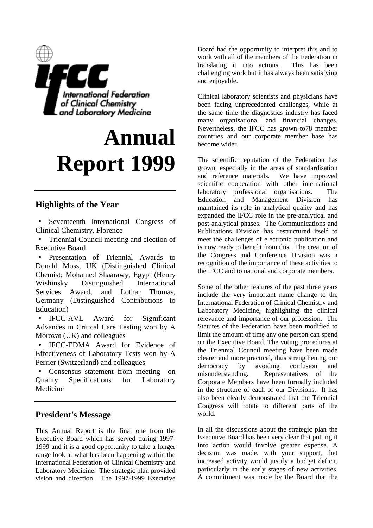

# **Annual Report 1999**

# **Highlights of the Year**

• Seventeenth International Congress of Clinical Chemistry, Florence

• Triennial Council meeting and election of Executive Board

• Presentation of Triennial Awards to Donald Moss, UK (Distinguished Clinical Chemist; Mohamed Shaarawy, Egypt (Henry Wishinsky Distinguished International Services Award; and Lothar Thomas, Germany (Distinguished Contributions to Education)

• IFCC-AVL Award for Significant Advances in Critical Care Testing won by A Morovat (UK) and colleagues

IFCC-EDMA Award for Evidence of Effectiveness of Laboratory Tests won by A Perrier (Switzerland) and colleagues

• Consensus statement from meeting on Quality Specifications for Laboratory Medicine

# **President's Message**

This Annual Report is the final one from the Executive Board which has served during 1997- 1999 and it is a good opportunity to take a longer range look at what has been happening within the International Federation of Clinical Chemistry and Laboratory Medicine. The strategic plan provided vision and direction. The 1997-1999 Executive Board had the opportunity to interpret this and to work with all of the members of the Federation in translating it into actions. This has been challenging work but it has always been satisfying and enjoyable.

Clinical laboratory scientists and physicians have been facing unprecedented challenges, while at the same time the diagnostics industry has faced many organisational and financial changes. Nevertheless, the IFCC has grown to78 member countries and our corporate member base has become wider.

The scientific reputation of the Federation has grown, especially in the areas of standardisation and reference materials. We have improved scientific cooperation with other international laboratory professional organisations. The Education and Management Division has maintained its role in analytical quality and has expanded the IFCC role in the pre-analytical and post-analytical phases. The Communications and Publications Division has restructured itself to meet the challenges of electronic publication and is now ready to benefit from this. The creation of the Congress and Conference Division was a recognition of the importance of these activities to the IFCC and to national and corporate members.

Some of the other features of the past three years include the very important name change to the International Federation of Clinical Chemistry and Laboratory Medicine, highlighting the clinical relevance and importance of our profession. The Statutes of the Federation have been modified to limit the amount of time any one person can spend on the Executive Board. The voting procedures at the Triennial Council meeting have been made clearer and more practical, thus strengthening our democracy by avoiding confusion and misunderstanding. Representatives of the Corporate Members have been formally included in the structure of each of our Divisions. It has also been clearly demonstrated that the Triennial Congress will rotate to different parts of the world.

In all the discussions about the strategic plan the Executive Board has been very clear that putting it into action would involve greater expense. A decision was made, with your support, that increased activity would justify a budget deficit, particularly in the early stages of new activities. A commitment was made by the Board that the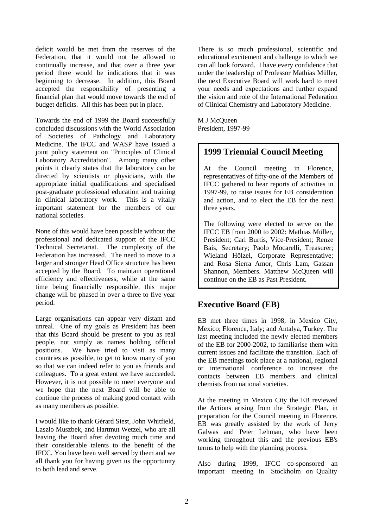deficit would be met from the reserves of the Federation, that it would not be allowed to continually increase, and that over a three year period there would be indications that it was beginning to decrease. In addition, this Board accepted the responsibility of presenting a financial plan that would move towards the end of budget deficits. All this has been put in place.

Towards the end of 1999 the Board successfully concluded discussions with the World Association of Societies of Pathology and Laboratory Medicine. The IFCC and WASP have issued a joint policy statement on "Principles of Clinical Laboratory Accreditation". Among many other points it clearly states that the laboratory can be directed by scientists or physicians, with the appropriate initial qualifications and specialised post-graduate professional education and training in clinical laboratory work. This is a vitally important statement for the members of our national societies.

None of this would have been possible without the professional and dedicated support of the IFCC Technical Secretariat. The complexity of the Federation has increased. The need to move to a larger and stronger Head Office structure has been accepted by the Board. To maintain operational efficiency and effectiveness, while at the same time being financially responsible, this major change will be phased in over a three to five year period.

Large organisations can appear very distant and unreal. One of my goals as President has been that this Board should be present to you as real people, not simply as names holding official positions. We have tried to visit as many countries as possible, to get to know many of you so that we can indeed refer to you as friends and colleagues. To a great extent we have succeeded. However, it is not possible to meet everyone and we hope that the next Board will be able to continue the process of making good contact with as many members as possible.

I would like to thank Gérard Siest, John Whitfield, Laszlo Muszbek, and Hartmut Wetzel, who are all leaving the Board after devoting much time and their considerable talents to the benefit of the IFCC. You have been well served by them and we all thank you for having given us the opportunity to both lead and serve.

There is so much professional, scientific and educational excitement and challenge to which we can all look forward. I have every confidence that under the leadership of Professor Mathias Müller, the next Executive Board will work hard to meet your needs and expectations and further expand the vision and role of the International Federation of Clinical Chemistry and Laboratory Medicine.

M J McQueen President, 1997-99

# **1999 Triennial Council Meeting**

At the Council meeting in Florence, representatives of fifty-one of the Members of IFCC gathered to hear reports of activities in 1997-99, to raise issues for EB consideration and action, and to elect the EB for the next three years.

The following were elected to serve on the IFCC EB from 2000 to 2002: Mathias Müller, President; Carl Burtis, Vice-President; Renze Bais, Secretary; Paolo Mocarelli, Treasurer; Wieland Hölzel, Corporate Representative; and Rosa Sierra Amor, Chris Lam, Gassan Shannon, Members. Matthew McQueen will continue on the EB as Past President.

# **Executive Board (EB)**

EB met three times in 1998, in Mexico City, Mexico; Florence, Italy; and Antalya, Turkey. The last meeting included the newly elected members of the EB for 2000-2002, to familiarise them with current issues and facilitate the transition. Each of the EB meetings took place at a national, regional or international conference to increase the contacts between EB members and clinical chemists from national societies.

At the meeting in Mexico City the EB reviewed the Actions arising from the Strategic Plan, in preparation for the Council meeting in Florence. EB was greatly assisted by the work of Jerry Galwas and Peter Lehman, who have been working throughout this and the previous EB's terms to help with the planning process.

Also during 1999, IFCC co-sponsored an important meeting in Stockholm on Quality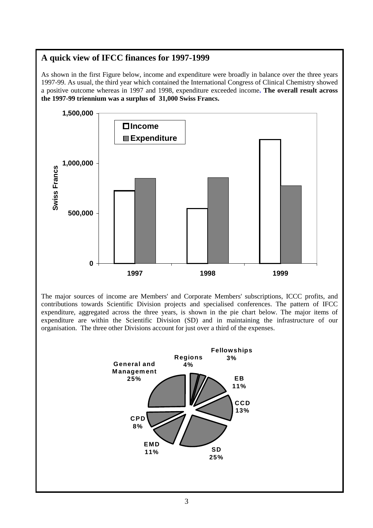# **A quick view of IFCC finances for 1997-1999**

As shown in the first Figure below, income and expenditure were broadly in balance over the three years 1997-99. As usual, the third year which contained the International Congress of Clinical Chemistry showed a positive outcome whereas in 1997 and 1998, expenditure exceeded income**. The overall result across the 1997-99 triennium was a surplus of 31,000 Swiss Francs.**



The major sources of income are Members' and Corporate Members' subscriptions, ICCC profits, and contributions towards Scientific Division projects and specialised conferences. The pattern of IFCC expenditure, aggregated across the three years, is shown in the pie chart below. The major items of expenditure are within the Scientific Division (SD) and in maintaining the infrastructure of our organisation. The three other Divisions account for just over a third of the expenses.

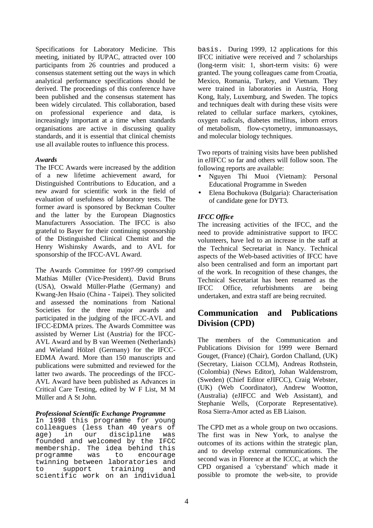Specifications for Laboratory Medicine. This meeting, initiated by IUPAC, attracted over 100 participants from 26 countries and produced a consensus statement setting out the ways in which analytical performance specifications should be derived. The proceedings of this conference have been published and the consensus statement has been widely circulated. This collaboration, based on professional experience and data, is increasingly important at a time when standards organisations are active in discussing quality standards, and it is essential that clinical chemists use all available routes to influence this process.

## *Awards*

The IFCC Awards were increased by the addition of a new lifetime achievement award, for Distinguished Contributions to Education, and a new award for scientific work in the field of evaluation of usefulness of laboratory tests. The former award is sponsored by Beckman Coulter and the latter by the European Diagnostics Manufacturers Association. The IFCC is also grateful to Bayer for their continuing sponsorship of the Distinguished Clinical Chemist and the Henry Wishinsky Awards, and to AVL for sponsorship of the IFCC-AVL Award.

The Awards Committee for 1997-99 comprised Mathias Müller (Vice-President), David Bruns (USA), Oswald Müller-Plathe (Germany) and Kwang-Jen Hsaio (China - Taipei). They solicited and assessed the nominations from National Societies for the three major awards and participated in the judging of the IFCC-AVL and IFCC-EDMA prizes. The Awards Committee was assisted by Werner List (Austria) for the IFCC-AVL Award and by B van Weemen (Netherlands) and Wieland Hölzel (Germany) for the IFCC-EDMA Award. More than 150 manuscripts and publications were submitted and reviewed for the latter two awards. The proceedings of the IFCC-AVL Award have been published as Advances in Critical Care Testing, edited by W F List, M M Müller and A St John.

#### *Professional Scientific Exchange Programme*

In 1998 this programme for young colleagues (less than 40 years of discipline was founded and welcomed by the IFCC membership. The idea behind this<br>programme was to encourage programme was to encourage twinning between laboratories and to support training and scientific work on an individual

basis. During 1999, 12 applications for this IFCC initiative were received and 7 scholarships (long-term visit: 1, short-term visits: 6) were granted. The young colleagues came from Croatia, Mexico, Romania, Turkey, and Vietnam. They were trained in laboratories in Austria, Hong Kong, Italy, Luxemburg, and Sweden. The topics and techniques dealt with during these visits were related to cellular surface markers, cytokines, oxygen radicals, diabetes mellitus, inborn errors of metabolism, flow-cytometry, immunoassays, and molecular biology techniques.

Two reports of training visits have been published in eJIFCC so far and others will follow soon. The following reports are available:

- Nguyen Thi Muoi (Vietnam): Personal Educational Programme in Sweden
- Elena Bochukova (Bulgaria): Characterisation of candidate gene for DYT3.

# *IFCC Office*

The increasing activities of the IFCC, and the need to provide administrative support to IFCC volunteers, have led to an increase in the staff at the Technical Secretariat in Nancy. Technical aspects of the Web-based activities of IFCC have also been centralised and form an important part of the work. In recognition of these changes, the Technical Secretariat has been renamed as the IFCC Office, refurbishments are being undertaken, and extra staff are being recruited.

# **Communication and Publications Division (CPD)**

The members of the Communication and Publications Division for 1999 were Bernard Gouget, (France) (Chair), Gordon Challand, (UK) (Secretary, Liaison CCLM), Andreas Rothstein, (Colombia) (News Editor), Johan Waldenstrom, (Sweden) (Chief Editor eJIFCC), Craig Webster, (UK) (Web Coordinator), Andrew Wootton, (Australia) (eJIFCC and Web Assistant), and Stephanie Wells, (Corporate Representative). Rosa Sierra-Amor acted as EB Liaison.

The CPD met as a whole group on two occasions. The first was in New York, to analyse the outcomes of its actions within the strategic plan, and to develop external communications. The second was in Florence at the ICCC, at which the CPD organised a 'cyberstand' which made it possible to promote the web-site, to provide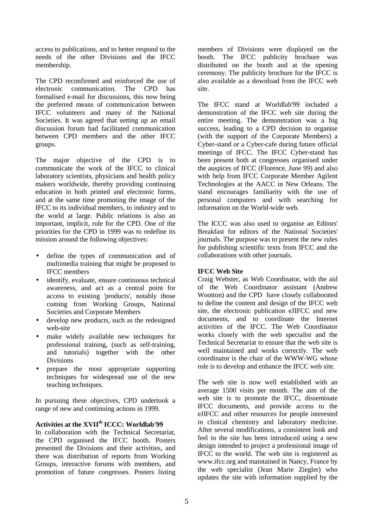access to publications, and to better respond to the needs of the other Divisions and the IFCC membership.

The CPD reconfirmed and reinforced the use of electronic communication. The CPD has formalised e-mail for discussions, this now being the preferred means of communication between IFCC volunteers and many of the National Societies. It was agreed that setting up an email discussion forum had facilitated communication between CPD members and the other IFCC groups.

The major objective of the CPD is to communicate the work of the IFCC to clinical laboratory scientists, physicians and health policy makers worldwide, thereby providing continuing education in both printed and electronic forms, and at the same time promoting the image of the IFCC to its individual members, to industry and to the world at large. Public relations is also an important, implicit, role for the CPD. One of the priorities for the CPD in 1999 was to redefine its mission around the following objectives:

- define the types of communication and of multimedia training that might be proposed to IFCC members
- identify, evaluate, ensure continuous technical awareness, and act as a central point for access to existing 'products', notably those coming from Working Groups, National Societies and Corporate Members
- develop new products, such as the redesigned web-site
- make widely available new techniques for professional training, (such as self-training, and tutorials) together with the other Divisions
- prepare the most appropriate supporting techniques for widespread use of the new teaching techniques.

In pursuing these objectives, CPD undertook a range of new and continuing actions in 1999.

# **Activities at the XVIIth ICCC: Worldlab'99**

In collaboration with the Technical Secretariat, the CPD organised the IFCC booth. Posters presented the Divisions and their activities, and there was distribution of reports from Working Groups, interactive forums with members, and promotion of future congresses. Posters listing

members of Divisions were displayed on the booth. The IFCC publicity brochure was distributed on the booth and at the opening ceremony. The publicity brochure for the IFCC is also available as a download from the IFCC web site.

The IFCC stand at Worldlab'99 included a demonstration of the IFCC web site during the entire meeting. The demonstration was a big success, leading to a CPD decision to organise (with the support of the Corporate Members) a Cyber-stand or a Cyber-cafe during future official meetings of IFCC. The IFCC Cyber-stand has been present both at congresses organised under the auspices of IFCC (Florence, June 99) and also with help from IFCC Corporate Member Agilent Technologies at the AACC in New Orleans. The stand encourages familiarity with the use of personal computers and with searching for information on the World-wide web.

The ICCC was also used to organise an Editors' Breakfast for editors of the National Societies' journals. The purpose was to present the new rules for publishing scientific texts from IFCC and the collaborations with other journals.

#### **IFCC Web Site**

Craig Webster, as Web Coordinator, with the aid of the Web Coordinator assistant (Andrew Wootton) and the CPD have closely collaborated to define the content and design of the IFCC web site, the electronic publication eJIFCC and new documents, and to coordinate the Internet activities of the IFCC. The Web Coordinator works closely with the web specialist and the Technical Secretariat to ensure that the web site is well maintained and works correctly. The web coordinator is the chair of the WWW-WG whose role is to develop and enhance the IFCC web site.

The web site is now well established with an average 1500 visits per month. The aim of the web site is to promote the IFCC, disseminate IFCC documents, and provide access to the eJIFCC and other resources for people interested in clinical chemistry and laboratory medicine. After several modifications, a consistent look and feel to the site has been introduced using a new design intended to project a professional image of IFCC to the world. The web site is registered as www.ifcc.org and maintained in Nancy, France by the web specialist (Jean Marie Ziegler) who updates the site with information supplied by the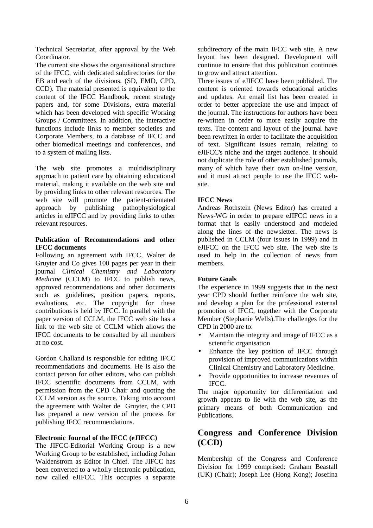Technical Secretariat, after approval by the Web Coordinator.

The current site shows the organisational structure of the IFCC, with dedicated subdirectories for the EB and each of the divisions. (SD, EMD, CPD, CCD). The material presented is equivalent to the content of the IFCC Handbook, recent strategy papers and, for some Divisions, extra material which has been developed with specific Working Groups / Committees. In addition, the interactive functions include links to member societies and Corporate Members, to a database of IFCC and other biomedical meetings and conferences, and to a system of mailing lists.

The web site promotes a multidisciplinary approach to patient care by obtaining educational material, making it available on the web site and by providing links to other relevant resources. The web site will promote the patient-orientated approach by publishing pathophysiological articles in eJIFCC and by providing links to other relevant resources.

#### **Publication of Recommendations and other IFCC documents**

Following an agreement with IFCC, Walter de Gruyter and Co gives 100 pages per year in their journal *Clinical Chemistry and Laboratory Medicine* (CCLM) to IFCC to publish news, approved recommendations and other documents such as guidelines, position papers, reports, evaluations, etc. The copyright for these contributions is held by IFCC. In parallel with the paper version of CCLM, the IFCC web site has a link to the web site of CCLM which allows the IFCC documents to be consulted by all members at no cost.

Gordon Challand is responsible for editing IFCC recommendations and documents. He is also the contact person for other editors, who can publish IFCC scientific documents from CCLM, with permission from the CPD Chair and quoting the CCLM version as the source. Taking into account the agreement with Walter de Gruyter, the CPD has prepared a new version of the process for publishing IFCC recommendations.

# **Electronic Journal of the IFCC (eJIFCC)**

The JIFCC-Editorial Working Group is a new Working Group to be established, including Johan Waldenstrom as Editor in Chief. The JIFCC has been converted to a wholly electronic publication, now called eJIFCC. This occupies a separate

subdirectory of the main IFCC web site. A new layout has been designed. Development will continue to ensure that this publication continues to grow and attract attention.

Three issues of eJIFCC have been published. The content is oriented towards educational articles and updates. An email list has been created in order to better appreciate the use and impact of the journal. The instructions for authors have been re-written in order to more easily acquire the texts. The content and layout of the journal have been rewritten in order to facilitate the acquisition of text. Significant issues remain, relating to eJIFCC's niche and the target audience. It should not duplicate the role of other established journals, many of which have their own on-line version, and it must attract people to use the IFCC website.

## **IFCC News**

Andreas Rothstein (News Editor) has created a News-WG in order to prepare eJIFCC news in a format that is easily understood and modeled along the lines of the newsletter. The news is published in CCLM (four issues in 1999) and in eJIFCC on the IFCC web site. The web site is used to help in the collection of news from members.

#### **Future Goals**

The experience in 1999 suggests that in the next year CPD should further reinforce the web site, and develop a plan for the professional external promotion of IFCC, together with the Corporate Member (Stephanie Wells).The challenges for the CPD in 2000 are to:

- Maintain the integrity and image of IFCC as a scientific organisation
- Enhance the key position of IFCC through provision of improved communications within Clinical Chemistry and Laboratory Medicine.
- Provide opportunities to increase revenues of IFCC.

The major opportunity for differentiation and growth appears to lie with the web site, as the primary means of both Communication and Publications.

# **Congress and Conference Division (CCD)**

Membership of the Congress and Conference Division for 1999 comprised: Graham Beastall (UK) (Chair); Joseph Lee (Hong Kong); Josefina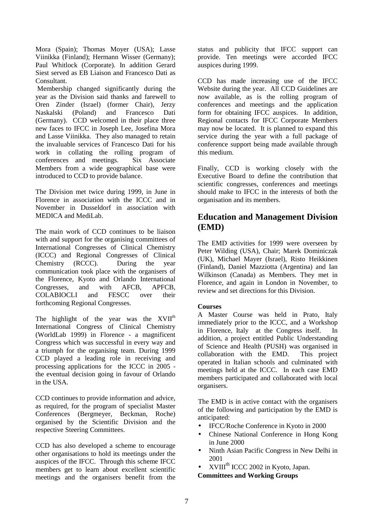Mora (Spain); Thomas Moyer (USA); Lasse Viinikka (Finland); Hermann Wisser (Germany); Paul Whitlock (Corporate). In addition Gerard Siest served as EB Liaison and Francesco Dati as **Consultant** 

 Membership changed significantly during the year as the Division said thanks and farewell to Oren Zinder (Israel) (former Chair), Jerzy Naskalski (Poland) and Francesco Dati (Germany). CCD welcomed in their place three new faces to IFCC in Joseph Lee, Josefina Mora and Lasse Viinikka. They also managed to retain the invaluable services of Francesco Dati for his work in collating the rolling program of conferences and meetings. Six Associate Members from a wide geographical base were introduced to CCD to provide balance.

The Division met twice during 1999, in June in Florence in association with the ICCC and in November in Dusseldorf in association with MEDICA and MediLab.

The main work of CCD continues to be liaison with and support for the organising committees of International Congresses of Clinical Chemistry (ICCC) and Regional Congresses of Clinical Chemistry (RCCC). During the year communication took place with the organisers of the Florence, Kyoto and Orlando International Congresses, and with AFCB, APFCB, COLABIOCLI and FESCC over their forthcoming Regional Congresses.

The highlight of the year was the  $XVII<sup>th</sup>$ International Congress of Clinical Chemistry (WorldLab 1999) in Florence - a magnificent Congress which was successful in every way and a triumph for the organising team. During 1999 CCD played a leading role in receiving and processing applications for the ICCC in 2005 the eventual decision going in favour of Orlando in the USA.

CCD continues to provide information and advice, as required, for the program of specialist Master Conferences (Bergmeyer, Beckman, Roche) organised by the Scientific Division and the respective Steering Committees.

CCD has also developed a scheme to encourage other organisations to hold its meetings under the auspices of the IFCC. Through this scheme IFCC members get to learn about excellent scientific meetings and the organisers benefit from the

status and publicity that IFCC support can provide. Ten meetings were accorded IFCC auspices during 1999.

CCD has made increasing use of the IFCC Website during the year. All CCD Guidelines are now available, as is the rolling program of conferences and meetings and the application form for obtaining IFCC auspices. In addition, Regional contacts for IFCC Corporate Members may now be located. It is planned to expand this service during the year with a full package of conference support being made available through this medium.

Finally, CCD is working closely with the Executive Board to define the contribution that scientific congresses, conferences and meetings should make to IFCC in the interests of both the organisation and its members.

# **Education and Management Division (EMD)**

The EMD activities for 1999 were overseen by Peter Wilding (USA), Chair; Marek Dominiczak (UK), Michael Mayer (Israel), Risto Heikkinen (Finland), Daniel Mazziotta (Argentina) and Ian Wilkinson (Canada) as Members. They met in Florence, and again in London in November, to review and set directions for this Division.

# **Courses**

A Master Course was held in Prato, Italy immediately prior to the ICCC, and a Workshop in Florence, Italy at the Congress itself. In addition, a project entitled Public Understanding of Science and Health (PUSH) was organised in collaboration with the EMD. This project operated in Italian schools and culminated with meetings held at the ICCC. In each case EMD members participated and collaborated with local organisers.

The EMD is in active contact with the organisers of the following and participation by the EMD is anticipated:

- IFCC/Roche Conference in Kyoto in 2000
- Chinese National Conference in Hong Kong in June 2000
- Ninth Asian Pacific Congress in New Delhi in 2001
- XVIIIth ICCC 2002 in Kyoto, Japan.

**Committees and Working Groups**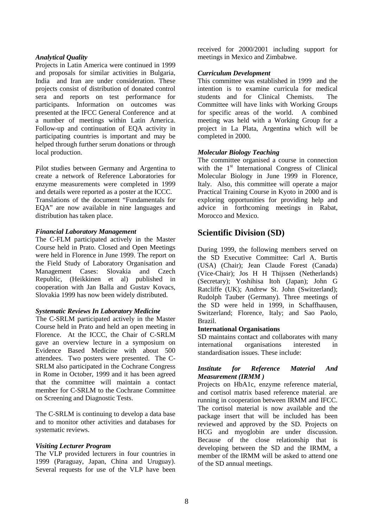#### *Analytical Quality*

Projects in Latin America were continued in 1999 and proposals for similar activities in Bulgaria, India and Iran are under consideration. These projects consist of distribution of donated control sera and reports on test performance for participants. Information on outcomes was presented at the IFCC General Conference and at a number of meetings within Latin America. Follow-up and continuation of EQA activity in participating countries is important and may be helped through further serum donations or through local production.

Pilot studies between Germany and Argentina to create a network of Reference Laboratories for enzyme measurements were completed in 1999 and details were reported as a poster at the ICCC.

Translations of the document "Fundamentals for EQA" are now available in nine languages and distribution has taken place.

#### *Financial Laboratory Management*

The C-FLM participated actively in the Master Course held in Prato. Closed and Open Meetings were held in Florence in June 1999. The report on the Field Study of Laboratory Organisation and Management Cases: Slovakia and Czech Republic, (Heikkinen et al) published in cooperation with Jan Balla and Gustav Kovacs, Slovakia 1999 has now been widely distributed.

#### *Systematic Reviews In Laboratory Medicine*

The C-SRLM participated actively in the Master Course held in Prato and held an open meeting in Florence. At the ICCC, the Chair of C-SRLM gave an overview lecture in a symposium on Evidence Based Medicine with about 500 attendees. Two posters were presented. The C-SRLM also participated in the Cochrane Congress in Rome in October, 1999 and it has been agreed that the committee will maintain a contact member for C-SRLM to the Cochrane Committee on Screening and Diagnostic Tests.

The C-SRLM is continuing to develop a data base and to monitor other activities and databases for systematic reviews.

#### *Visiting Lecturer Program*

The VLP provided lecturers in four countries in 1999 (Paraguay, Japan, China and Uruguay). Several requests for use of the VLP have been

received for 2000/2001 including support for meetings in Mexico and Zimbabwe.

## *Curriculum Development*

This committee was established in 1999 and the intention is to examine curricula for medical students and for Clinical Chemists. The Committee will have links with Working Groups for specific areas of the world. A combined meeting was held with a Working Group for a project in La Plata, Argentina which will be completed in 2000.

# *Molecular Biology Teaching*

The committee organised a course in connection with the  $1<sup>st</sup>$  International Congress of Clinical Molecular Biology in June 1999 in Florence, Italy. Also, this committee will operate a major Practical Training Course in Kyoto in 2000 and is exploring opportunities for providing help and advice in forthcoming meetings in Rabat, Morocco and Mexico.

# **Scientific Division (SD)**

During 1999, the following members served on the SD Executive Committee: Carl A. Burtis (USA) (Chair); Jean Claude Forest (Canada) (Vice-Chair); Jos H H Thijssen (Netherlands) (Secretary); Yoshihisa Itoh (Japan); John G Ratcliffe (UK); Andrew St. John (Switzerland); Rudolph Tauber (Germany). Three meetings of the SD were held in 1999, in Schaffhausen, Switzerland; Florence, Italy; and Sao Paolo, Brazil.

#### **International Organisations**

SD maintains contact and collaborates with many international organisations interested in standardisation issues. These include:

## *Institute for Reference Material And Measurement (IRMM )*

Projects on HbA1c, enzyme reference material, and cortisol matrix based reference material. are running in cooperation between IRMM and IFCC. The cortisol material is now available and the package insert that will be included has been reviewed and approved by the SD. Projects on HCG and myoglobin are under discussion. Because of the close relationship that is developing between the SD and the IRMM, a member of the IRMM will be asked to attend one of the SD annual meetings.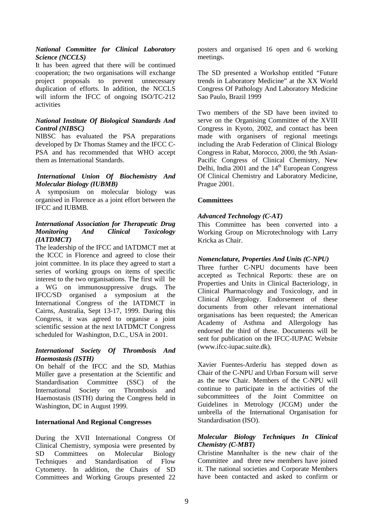#### *National Committee for Clinical Laboratory Science (NCCLS)*

It has been agreed that there will be continued cooperation; the two organisations will exchange project proposals to prevent unnecessary duplication of efforts. In addition, the NCCLS will inform the IFCC of ongoing ISO/TC-212 activities

#### *National Institute Of Biological Standards And Control (NIBSC)*

NIBSC has evaluated the PSA preparations developed by Dr Thomas Stamey and the IFCC C-PSA and has recommended that WHO accept them as International Standards.

#### *International Union Of Biochemistry And Molecular Biology (IUBMB)*

A symposium on molecular biology was organised in Florence as a joint effort between the IFCC and IUBMB.

#### *International Association for Therapeutic Drug Monitoring And Clinical Toxicology (IATDMCT)*

The leadership of the IFCC and IATDMCT met at the ICCC in Florence and agreed to close their joint committee. In its place they agreed to start a series of working groups on items of specific interest to the two organisations. The first will be a WG on immunosuppressive drugs. The IFCC/SD organised a symposium at the International Congress of the IATDMCT in Cairns, Australia, Sept 13-17, 1999. During this Congress, it was agreed to organise a joint scientific session at the next IATDMCT Congress scheduled for Washington, D.C., USA in 2001.

#### *International Society Of Thrombosis And Haemostasis (ISTH)*

On behalf of the IFCC and the SD, Mathias Müller gave a presentation at the Scientific and Standardisation Committee (SSC) of the International Society on Thrombosis and Haemostasis (ISTH) during the Congress held in Washington, DC in August 1999.

#### **International And Regional Congresses**

During the XVII International Congress Of Clinical Chemistry, symposia were presented by SD Committees on Molecular Biology Techniques and Standardisation of Flow Cytometry. In addition, the Chairs of SD Committees and Working Groups presented 22 posters and organised 16 open and 6 working meetings.

The SD presented a Workshop entitled "Future trends in Laboratory Medicine" at the XX World Congress Of Pathology And Laboratory Medicine Sao Paulo, Brazil 1999

Two members of the SD have been invited to serve on the Organising Committee of the XVIII Congress in Kyoto, 2002, and contact has been made with organisers of regional meetings including the Arab Federation of Clinical Biology Congress in Rabat, Morocco, 2000, the 9th Asian-Pacific Congress of Clinical Chemistry, New Delhi, India  $2001$  and the  $14<sup>th</sup>$  European Congress Of Clinical Chemistry and Laboratory Medicine, Prague 2001.

## **Committees**

## *Advanced Technology (C-AT)*

This Committee has been converted into a Working Group on Microtechnology with Larry Kricka as Chair.

## *Nomenclature, Properties And Units (C-NPU)*

Three further C-NPU documents have been accepted as Technical Reports: these are on Properties and Units in Clinical Bacteriology, in Clinical Pharmacology and Toxicology, and in Clinical Allergology. Endorsement of these documents from other relevant international organisations has been requested; the American Academy of Asthma and Allergology has endorsed the third of these. Documents will be sent for publication on the IFCC-IUPAC Website (www.ifcc-iupac.suite.dk).

Xavier Fuentes-Arderiu has stepped down as Chair of the C-NPU and Urban Forsum will serve as the new Chair. Members of the C-NPU will continue to participate in the activities of the subcommittees of the Joint Committee on Guidelines in Metrology (JCGM) under the umbrella of the International Organisation for Standardisation (ISO).

#### *Molecular Biology Techniques In Clinical Chemistry (C-MBT)*

Christine Mannhalter is the new chair of the Committee and three new members have joined it. The national societies and Corporate Members have been contacted and asked to confirm or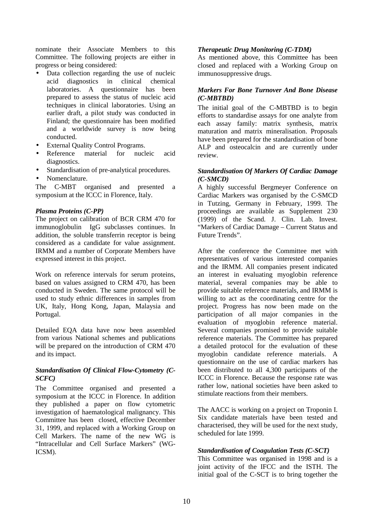nominate their Associate Members to this Committee. The following projects are either in progress or being considered:

- Data collection regarding the use of nucleic acid diagnostics in clinical chemical laboratories. A questionnaire has been prepared to assess the status of nucleic acid techniques in clinical laboratories. Using an earlier draft, a pilot study was conducted in Finland; the questionnaire has been modified and a worldwide survey is now being conducted.
- External Quality Control Programs.
- Reference material for nucleic acid diagnostics.
- Standardisation of pre-analytical procedures.
- Nomenclature.

The C-MBT organised and presented a symposium at the ICCC in Florence, Italy.

## *Plasma Proteins (C-PP)*

The project on calibration of BCR CRM 470 for immunoglobulin IgG subclasses continues. In addition, the soluble transferrin receptor is being considered as a candidate for value assignment. IRMM and a number of Corporate Members have expressed interest in this project.

Work on reference intervals for serum proteins, based on values assigned to CRM 470, has been conducted in Sweden. The same protocol will be used to study ethnic differences in samples from UK, Italy, Hong Kong, Japan, Malaysia and Portugal.

Detailed EQA data have now been assembled from various National schemes and publications will be prepared on the introduction of CRM 470 and its impact.

## *Standardisation Of Clinical Flow-Cytometry (C-SCFC)*

The Committee organised and presented a symposium at the ICCC in Florence. In addition they published a paper on flow cytometric investigation of haematological malignancy. This Committee has been closed, effective December 31, 1999, and replaced with a Working Group on Cell Markers. The name of the new WG is "Intracellular and Cell Surface Markers" (WG-ICSM).

## *Therapeutic Drug Monitoring (C-TDM)*

As mentioned above, this Committee has been closed and replaced with a Working Group on immunosuppressive drugs.

# *Markers For Bone Turnover And Bone Disease (C-MBTBD)*

The initial goal of the C-MBTBD is to begin efforts to standardise assays for one analyte from each assay family: matrix synthesis, matrix maturation and matrix mineralisation. Proposals have been prepared for the standardisation of bone ALP and osteocalcin and are currently under review.

#### *Standardisation Of Markers Of Cardiac Damage (C-SMCD)*

A highly successful Bergmeyer Conference on Cardiac Markers was organised by the C-SMCD in Tutzing, Germany in February, 1999. The proceedings are available as Supplement 230 (1999) of the Scand. J. Clin. Lab. Invest. "Markers of Cardiac Damage – Current Status and Future Trends".

After the conference the Committee met with representatives of various interested companies and the IRMM. All companies present indicated an interest in evaluating myoglobin reference material, several companies may be able to provide suitable reference materials, and IRMM is willing to act as the coordinating centre for the project. Progress has now been made on the participation of all major companies in the evaluation of myoglobin reference material. Several companies promised to provide suitable reference materials. The Committee has prepared a detailed protocol for the evaluation of these myoglobin candidate reference materials. A questionnaire on the use of cardiac markers has been distributed to all 4,300 participants of the ICCC in Florence. Because the response rate was rather low, national societies have been asked to stimulate reactions from their members.

The AACC is working on a project on Troponin I. Six candidate materials have been tested and characterised, they will be used for the next study, scheduled for late 1999.

# *Standardisation of Coagulation Tests (C-SCT)*

This Committee was organised in 1998 and is a joint activity of the IFCC and the ISTH. The initial goal of the C-SCT is to bring together the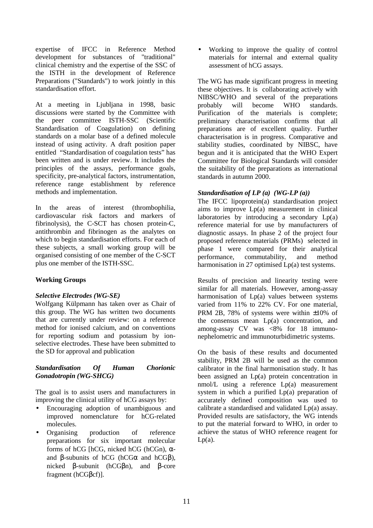expertise of IFCC in Reference Method development for substances of "traditional" clinical chemistry and the expertise of the SSC of the ISTH in the development of Reference Preparations ("Standards") to work jointly in this standardisation effort.

At a meeting in Ljubljana in 1998, basic discussions were started by the Committee with the peer committee ISTH-SSC (Scientific Standardisation of Coagulation) on defining standards on a molar base of a defined molecule instead of using activity. A draft position paper entitled "Standardisation of coagulation tests" has been written and is under review. It includes the principles of the assays, performance goals, specificity, pre-analytical factors, instrumentation, reference range establishment by reference methods and implementation.

In the areas of interest (thrombophilia, cardiovascular risk factors and markers of fibrinolysis), the C-SCT has chosen protein-C, antithrombin and fibrinogen as the analytes on which to begin standardisation efforts. For each of these subjects, a small working group will be organised consisting of one member of the C-SCT plus one member of the ISTH-SSC.

# **Working Groups**

#### *Selective Electrodes (WG-SE)*

Wolfgang Külpmann has taken over as Chair of this group. The WG has written two documents that are currently under review: on a reference method for ionised calcium, and on conventions for reporting sodium and potassium by ionselective electrodes. These have been submitted to the SD for approval and publication

#### *Standardisation Of Human Chorionic Gonadotropin (WG-SHCG)*

The goal is to assist users and manufacturers in improving the clinical utility of hCG assays by:

- Encouraging adoption of unambiguous and improved nomenclature for hCG-related molecules.
- Organising production of reference preparations for six important molecular forms of hCG [hCG, nicked hCG (hCGn),  $\alpha$ and  $\beta$ -subunits of hCG (hCG $\alpha$  and hCG $\beta$ ), nicked β-subunit (hCGβn), and β-core fragment (hCGβcf)].

• Working to improve the quality of control materials for internal and external quality assessment of hCG assays.

The WG has made significant progress in meeting these objectives. It is collaborating actively with NIBSC/WHO and several of the preparations probably will become WHO standards. Purification of the materials is complete; preliminary characterisation confirms that all preparations are of excellent quality. Further characterisation is in progress. Comparative and stability studies, coordinated by NIBSC, have begun and it is anticipated that the WHO Expert Committee for Biological Standards will consider the suitability of the preparations as international standards in autumn 2000.

#### *Standardisation of LP (a) (WG-LP (a))*

The IFCC lipoprotein(a) standardisation project aims to improve Lp(a) measurement in clinical laboratories by introducing a secondary  $Lp(a)$ reference material for use by manufacturers of diagnostic assays. In phase 2 of the project four proposed reference materials (PRMs) selected in phase 1 were compared for their analytical performance, commutability, and method harmonisation in 27 optimised Lp(a) test systems.

Results of precision and linearity testing were similar for all materials. However, among-assay harmonisation of Lp(a) values between systems varied from 11% to 22% CV. For one material, PRM 2B, 78% of systems were within ±10% of the consensus mean Lp(a) concentration, and among-assay CV was <8% for 18 immunonephelometric and immunoturbidimetric systems.

On the basis of these results and documented stability, PRM 2B will be used as the common calibrator in the final harmonisation study. It has been assigned an Lp(a) protein concentration in nmol/L using a reference Lp(a) measurement system in which a purified Lp(a) preparation of accurately defined composition was used to calibrate a standardised and validated Lp(a) assay. Provided results are satisfactory, the WG intends to put the material forward to WHO, in order to achieve the status of WHO reference reagent for  $Lp(a)$ .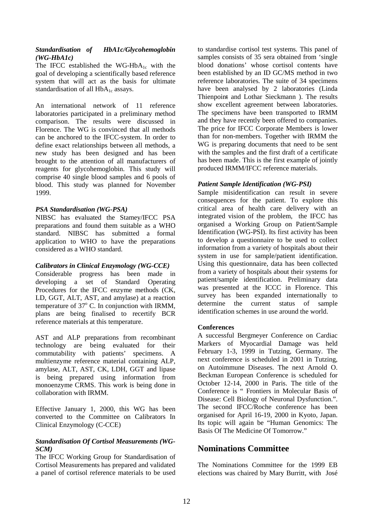#### *Standardisation of HbA1c/Glycohemoglobin (WG-HbA1c)*

The IFCC established the WG-Hb $A_{1c}$  with the goal of developing a scientifically based reference system that will act as the basis for ultimate standardisation of all  $HbA_{1c}$  assays.

An international network of 11 reference laboratories participated in a preliminary method comparison. The results were discussed in Florence. The WG is convinced that all methods can be anchored to the IFCC-system. In order to define exact relationships between all methods, a new study has been designed and has been brought to the attention of all manufacturers of reagents for glycohemoglobin. This study will comprise 40 single blood samples and 6 pools of blood. This study was planned for November 1999.

# *PSA Standardisation (WG-PSA)*

NIBSC has evaluated the Stamey/IFCC PSA preparations and found them suitable as a WHO standard. NIBSC has submitted a formal application to WHO to have the preparations considered as a WHO standard.

## *Calibrators in Clinical Enzymology (WG-CCE)*

Considerable progress has been made in developing a set of Standard Operating Procedures for the IFCC enzyme methods (CK, LD, GGT, ALT, AST, and amylase) at a reaction temperature of  $37^{\circ}$  C. In conjunction with IRMM, plans are being finalised to recertify BCR reference materials at this temperature.

AST and ALP preparations from recombinant technology are being evaluated for their commutability with patients' specimens. A multienzyme reference material containing ALP, amylase, ALT, AST, CK, LDH, GGT and lipase is being prepared using information from monoenzyme CRMS. This work is being done in collaboration with IRMM.

Effective January 1, 2000, this WG has been converted to the Committee on Calibrators In Clinical Enzymology (C-CCE)

## *Standardisation Of Cortisol Measurements (WG-SCM)*

The IFCC Working Group for Standardisation of Cortisol Measurements has prepared and validated a panel of cortisol reference materials to be used

to standardise cortisol test systems. This panel of samples consists of 35 sera obtained from 'single blood donations' whose cortisol contents have been established by an ID GC/MS method in two reference laboratories. The suite of 34 specimens have been analysed by 2 laboratories (Linda Thienpoint and Lothar Sieckmann ). The results show excellent agreement between laboratories. The specimens have been transported to IRMM and they have recently been offered to companies. The price for IFCC Corporate Members is lower than for non-members. Together with IRMM the WG is preparing documents that need to be sent with the samples and the first draft of a certificate has been made. This is the first example of jointly produced IRMM/IFCC reference materials.

# *Patient Sample Identification (WG-PSI)*

Sample misidentification can result in severe consequences for the patient. To explore this critical area of health care delivery with an integrated vision of the problem, the IFCC has organised a Working Group on Patient/Sample Identification (WG-PSI). Its first activity has been to develop a questionnaire to be used to collect information from a variety of hospitals about their system in use for sample/patient identification. Using this questionnaire, data has been collected from a variety of hospitals about their systems for patient/sample identification. Preliminary data was presented at the ICCC in Florence. This survey has been expanded internationally to determine the current status of sample identification schemes in use around the world.

#### **Conferences**

A successful Bergmeyer Conference on Cardiac Markers of Myocardial Damage was held February 1-3, 1999 in Tutzing, Germany. The next conference is scheduled in 2001 in Tutzing, on Autoimmune Diseases. The next Arnold O. Beckman European Conference is scheduled for October 12-14, 2000 in Paris. The title of the Conference is " Frontiers in Molecular Basis of Disease: Cell Biology of Neuronal Dysfunction.". The second IFCC/Roche conference has been organised for April 16-19, 2000 in Kyoto, Japan. Its topic will again be "Human Genomics: The Basis Of The Medicine Of Tomorrow."

# **Nominations Committee**

The Nominations Committee for the 1999 EB elections was chaired by Mary Burritt, with José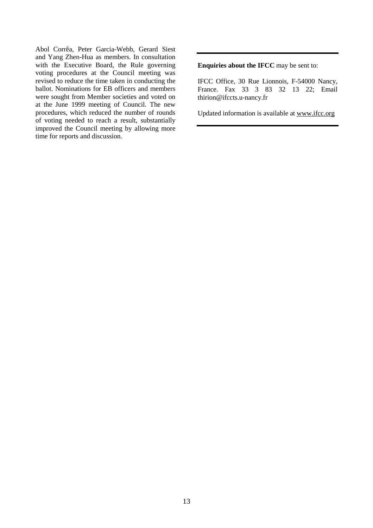Abol Corrêa, Peter Garcia-Webb, Gerard Siest and Yang Zhen-Hua as members. In consultation with the Executive Board, the Rule governing voting procedures at the Council meeting was revised to reduce the time taken in conducting the ballot. Nominations for EB officers and members were sought from Member societies and voted on at the June 1999 meeting of Council. The new procedures, which reduced the number of rounds of voting needed to reach a result, substantially improved the Council meeting by allowing more time for reports and discussion.

**Enquiries about the IFCC** may be sent to:

IFCC Office, 30 Rue Lionnois, F-54000 Nancy, France. Fax 33 3 83 32 13 22; Email thirion@ifccts.u-nancy.fr

Updated information is available at www.ifcc.org